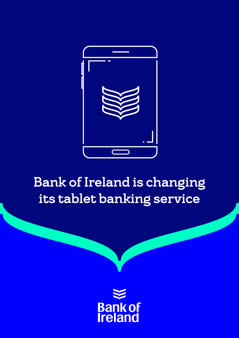

# Bank of Ireland is changing its tablet banking service

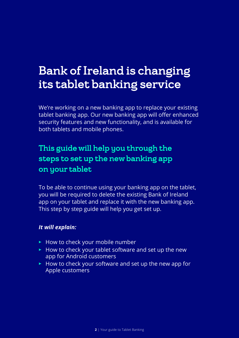## Bank of Ireland is changing its tablet banking service

We're working on a new banking app to replace your existing tablet banking app. Our new banking app will offer enhanced security features and new functionality, and is available for both tablets and mobile phones.

### This guide will help you through the steps to set up the new banking app on your tablet

To be able to continue using your banking app on the tablet, you will be required to delete the existing Bank of Ireland app on your tablet and replace it with the new banking app. This step by step guide will help you get set up.

#### *It will explain:*

- ► How to check your mobile number
- How to check your tablet software and set up the new app for Android customers
- How to check your software and set up the new app for Apple customers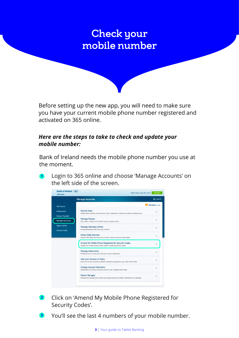### Check your mobile number

Before setting up the new app, you will need to make sure you have your current mobile phone number registered and activated on 365 online.

#### *Here are the steps to take to check and update your mobile number:*

Bank of Ireland needs the mobile phone number you use at the moment.

**<sup>1</sup>** Login to 365 online and choose 'Manage Accounts' on the left side of the screen.



- **<sup>2</sup>** Click on 'Amend My Mobile Phone Registered for Security Codes'.
- **<sup>3</sup>** You'll see the last 4 numbers of your mobile number.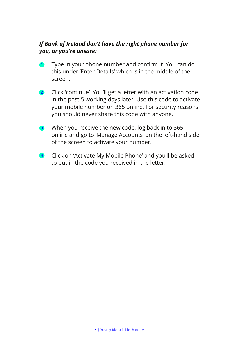#### *If Bank of Ireland don't have the right phone number for you, or you're unsure:*

- **<sup>1</sup>** Type in your phone number and confirm it. You can do this under 'Enter Details' which is in the middle of the screen.
- Click 'continue'. You'll get a letter with an activation code in the post 5 working days later. Use this code to activate your mobile number on 365 online. For security reasons you should never share this code with anyone. **2**
- When you receive the new code, log back in to 365 online and go to 'Manage Accounts' on the left-hand side of the screen to activate your number. **3**
- Click on 'Activate My Mobile Phone' and you'll be asked to put in the code you received in the letter. **4**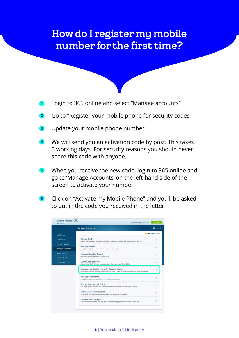### How do I register my mobile number for the first time?

- **<sup>1</sup>** Login to 365 online and select "Manage accounts"
- Go to "Register your mobile phone for security codes" **2**
- Update your mobile phone number. **3**
- We will send you an activation code by post. This takes 5 working days. For security reasons you should never share this code with anyone. **4**
- When you receive the new code, login to 365 online and go to 'Manage Accounts' on the left-hand side of the screen to activate your number. **5**
- Click on "Activate my Mobile Phone" and you'll be asked to put in the code you received in the letter. **6**

|                        | <b>Manage Accounts</b>                                                                                                                                | <b>む</b> Logout  |
|------------------------|-------------------------------------------------------------------------------------------------------------------------------------------------------|------------------|
| 365 Home               |                                                                                                                                                       | My Inbox (0 new) |
| <b>Statements</b>      | <b>Service Desk</b><br>Update postal address, add accounts, order a statement, interest and balance certificates etc.                                 |                  |
| <b>Money Transfer</b>  |                                                                                                                                                       |                  |
| <b>Manage Accounts</b> | <b>Manage Payees</b><br>Add, delete, activate and transfer money to payees online                                                                     | ÷                |
| <b>Apply Online</b>    | <b>Manage Standing Orders</b><br>Manage Standing Orders from your account                                                                             | ÷                |
| <b>Service Desk</b>    |                                                                                                                                                       |                  |
| Life online            | <b>Direct Debit Services</b><br>Access Direct Debit Services such as cancel, refuse, and block direct debits                                          | →                |
|                        | Register your Mobile Phone for Security Codes<br>Register your mobile phone to receive security codes - helps to make online services more convenient |                  |
|                        | <b>Manage Statements</b><br>Manage how you receive and view your account statements                                                                   |                  |
|                        | Add your Account or Policy<br>Add more of your accounts and Bank of Ireland Life policies to your 365 online profile                                  | ÷                |
|                        | <b>Change Account Nickname</b><br>Personalise your account names so that you can recognise them easily                                                | ÷                |
|                        | Manage KeyCode App<br>Register and De-Register KeyCode app - used when logging into BOI Account Access site                                           |                  |

**5** | Your guide to Tablet Banking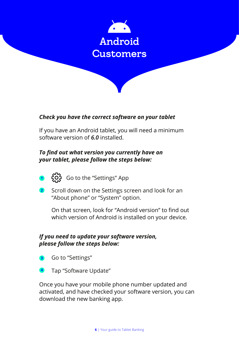

#### *Check you have the correct software on your tablet*

If you have an Android tablet, you will need a minimum software version of *6.0* installed.

#### *To find out what version you currently have on your tablet, please follow the steps below:*

- **1**  $\overleftrightarrow{Q}$  Go to the "Settings" App
- **2** Scroll down on the Settings screen and look for an "About phone" or "System" option.

On that screen, look for "Android version" to find out which version of Android is installed on your device.

#### *If you need to update your software version, please follow the steps below:*

- **<sup>3</sup>** Go to "Settings"
- Tap "Software Update" **<sup>4</sup>**

Once you have your mobile phone number updated and activated, and have checked your software version, you can download the new banking app.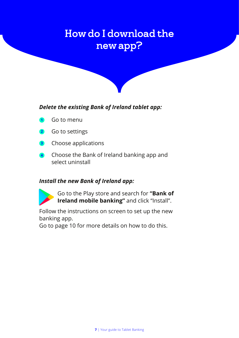### How do I download the new app?



#### *Delete the existing Bank of Ireland tablet app:*

- **<sup>1</sup>** Go to menu
- Go to settings **2**
- Choose applications **3**
- Choose the Bank of Ireland banking app and select uninstall **4**

#### *Install the new Bank of Ireland app:*



Go to the Play store and search for **"Bank of Ireland mobile banking"** and click "Install".

Follow the instructions on screen to set up the new banking app.

Go to page 10 for more details on how to do this.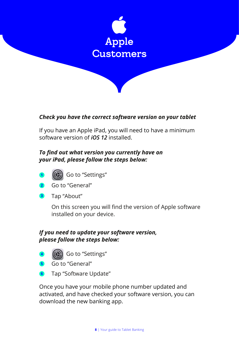

#### *Check you have the correct software version on your tablet*

If you have an Apple iPad, you will need to have a minimum software version of *iOS 12* installed.

#### *To find out what version you currently have on your iPad, please follow the steps below:*



1 (**b**) Go to "Settings"

- Go to "General" **2**
- Tap "About" **3**

On this screen you will find the version of Apple software installed on your device.

#### *If you need to update your software version, please follow the steps below:*

- **<sup>4</sup>** Go to "Settings"
- Go to "General" **5**
- Tap "Software Update" **6**

Once you have your mobile phone number updated and activated, and have checked your software version, you can download the new banking app.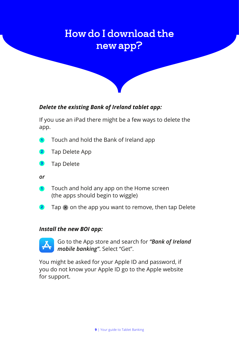### How do I download the new app?

#### *Delete the existing Bank of Ireland tablet app:*

If you use an iPad there might be a few ways to delete the app.

- **<sup>1</sup>** Touch and hold the Bank of Ireland app
- Tap Delete App **2**
- Tap Delete **3**
- *or*
- **<sup>1</sup>** Touch and hold any app on the Home screen (the apps should begin to wiggle)
- **2** Tap  $\times$  on the app you want to remove, then tap Delete

#### *Install the new BOI app:*



Go to the App store and search for *"Bank of Ireland mobile banking"*. Select "Get".

You might be asked for your Apple ID and password, if you do not know your Apple ID go to the Apple website for support.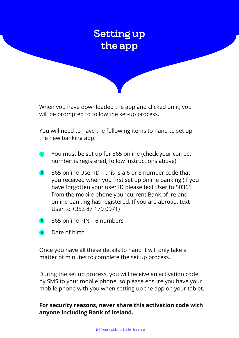

When you have downloaded the app and clicked on it, you will be prompted to follow the set-up process.

You will need to have the following items to hand to set up the new banking app:

- **<sup>1</sup>** You must be set up for 365 online (check your correct number is registered, follow instructions above)
- 365 online User ID this is a 6 or 8 number code that you received when you first set up online banking (If you have forgotten your user ID please text User to 50365 from the mobile phone your current Bank of Ireland online banking has registered. If you are abroad, text User to +353 87 179 0971) **2**
- 365 online PIN 6 numbers **3**
- Date of birth **4**

Once you have all these details to hand it will only take a matter of minutes to complete the set up process.

During the set up process, you will receive an activation code by SMS to your mobile phone, so please ensure you have your mobile phone with you when setting up the app on your tablet.

#### **For security reasons, never share this activation code with anyone including Bank of Ireland.**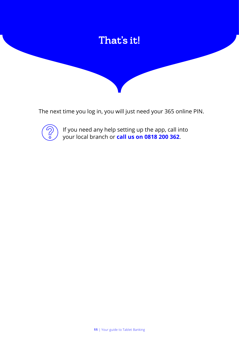

The next time you log in, you will just need your 365 online PIN.



If you need any help setting up the app, call into your local branch or **call us on 0818 200 362**.